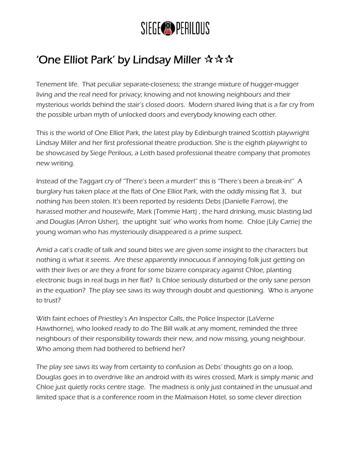## SIEGE<sup>O</sup> PERILOUS

## 'One Elliot Park' by Lindsay Miller  $\mathbf{\hat{x}} \mathbf{\hat{x}} \mathbf{\hat{x}}$

Tenement life. That peculiar separate-closeness; the strange mixture of hugger-mugger living and the real need for privacy; knowing and not knowing neighbours and their mysterious worlds behind the stair's closed doors. Modern shared living that is a far cry from the possible urban myth of unlocked doors and everybody knowing each other.

This is the world of One Elliot Park, the latest play by Edinburgh trained Scottish playwright Lindsay Miller and her first professional theatre production. She is the eighth playwright to be showcased by Siege Perilous, a Leith based professional theatre company that promotes new writing.

Instead of the Taggart cry of "There's been a murder!" this is "There's been a break-in!" A burglary has taken place at the flats of One Elliot Park, with the oddly missing flat 3, but nothing has been stolen. It's been reported by residents Debs (Danielle Farrow), the harassed mother and housewife, Mark (Tommie Hart) , the hard drinking, music blasting lad and Douglas (Arron Usher), the uptight 'suit' who works from home. Chloe (Lily Carrie) the young woman who has mysteriously disappeared is a prime suspect.

Amid a cat's cradle of talk and sound bites we are given some insight to the characters but nothing is what it seems. Are these apparently innocuous if annoying folk just getting on with their lives or are they a front for some bizarre conspiracy against Chloe, planting electronic bugs in real bugs in her flat? Is Chloe seriously disturbed or the only sane person in the equation? The play see saws its way through doubt and questioning. Who is anyone to trust?

With faint echoes of Priestley's An Inspector Calls, the Police Inspector (LaVerne Hawthorne), who looked ready to do The Bill walk at any moment, reminded the three neighbours of their responsibility towards their new, and now missing, young neighbour. Who among them had bothered to befriend her?

The play see saws its way from certainty to confusion as Debs' thoughts go on a loop, Douglas goes in to overdrive like an android with its wires crossed, Mark is simply manic and Chloe just quietly rocks centre stage. The madness is only just contained in the unusual and limited space that is a conference room in the Malmaison Hotel, so some clever direction